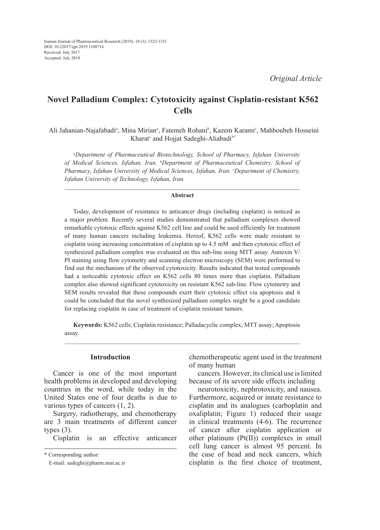# **Novel Palladium Complex: Cytotoxicity against Cisplatin-resistant K562 Cells**

 Ali Jahanian-Najafabadi*<sup>a</sup>* , Mina Mirian*<sup>a</sup>* , Fatemeh Rohani*<sup>b</sup>* , Kazem Karami*<sup>c</sup>* , Mahboubeh Hosseini Kharat*<sup>c</sup>* and Hojjat Sadeghi-Aliabadi*b\**

*a Department of Pharmaceutical Biotechnology, School of Pharmacy, Isfahan University of Medical Sciences, Isfahan, Iran. b Department of Pharmaceutical Chemistry, School of Pharmacy, Isfahan University of Medical Sciences, Isfahan, Iran. c Department of Chemistry, Isfahan University of Technology, Isfahan, Iran.*

#### **Abstract**

Today, development of resistance to anticancer drugs (including cisplatin) is noticed as a major problem. Recently several studies demonstrated that palladium complexes showed remarkable cytotoxic effects against K562 cell line and could be used efficiently for treatment of many human cancers including leukemia. Hereof, K562 cells were made resistant to cisplatin using increasing concentration of cisplatin up to 4.5 mM and then cytotoxic effect of synthesized palladium complex was evaluated on this sub-line using MTT assay. Annexin V/ PI staining using flow cytometry and scanning electron microscopy (SEM) were performed to find out the mechanism of the observed cytotoxicity. Results indicated that tested compounds had a noticeable cytotoxic effect on K562 cells 80 times more than cisplatin. Palladium complex also showed significant cytotoxicity on resistant K562 sub-line. Flow cytometry and SEM results revealed that these compounds exert their cytotoxic effect via apoptosis and it could be concluded that the novel synthesized palladium complex might be a good candidate for replacing cisplatin in case of treatment of cisplatin resistant tumors.

**Keywords:** K562 cells; Cisplatin resistance; Palladacyclic complex; MTT assay; Apoptosis assay.

# **Introduction**

Cancer is one of the most important health problems in developed and developing countries in the word, while today in the United States one of four deaths is due to various types of cancers (1, 2).

Surgery, radiotherapy, and chemotherapy are 3 main treatments of different cancer types  $(3)$ .

Cisplatin is an effective anticancer

\* Corresponding author:

chemotherapeutic agent used in the treatment of many human

cancers. However, its clinical use is limited because of its severe side effects including

neurotoxicity, nephrotoxicity, and nausea. Furthermore, acquired or innate resistance to cisplatin and its analogues (carboplatin and oxaliplatin; Figure 1) reduced their usage in clinical treatments (4-6). The recurrence of cancer after cisplatin application or other platinum (Pt(II)) complexes in small cell lung cancer is almost 95 percent. In the case of head and neck cancers, which cisplatin is the first choice of treatment,

E-mail: sadeghi@pharm.mui.ac.ir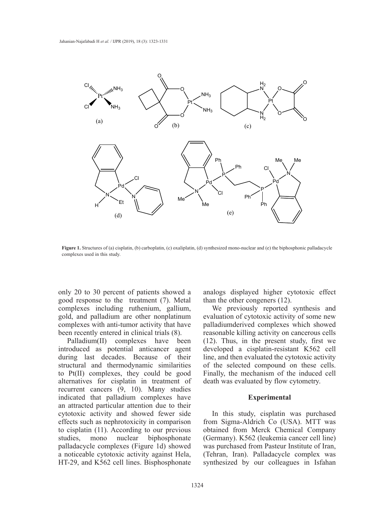

Figure 1. Structures of (a) cisplatin, (b) carboplatin, (c) oxaliplatin, (d) synthesized mono-nuclear and (e) the biphosphonic palladacycle complexes used in this study.

only 20 to 30 percent of patients showed a analogs displayed higher cytotox. good response to the treatment  $(7)$ . Metal than the other congeners  $(12)$ . complexes including ruthenium, gallium, We previously reported synthe gold, and palladium are other nonplatinum evaluation of cytotoxi complexes with anti-tumor activity that have been recently entered in clinical trials (8).

Palladium(II) complexes have been r anaditam (H) complexes have been (H2). Thus, in the present study, introduced as potential anticancer agent developed a cisplatin-resistant K during last decades. Because of their line, and then evaluated the cytotoxic structural and thermodynamic similarities of the selected compound on the to  $Pt(II)$  complexes, they could be good Finally, the mechanism of the inductionalternatives for cisplatin in treatment of recurrent cancers (9, 10). Many studies indicated that palladium complexes have an attracted particular attention due to their cytotoxic activity and showed fewer side effects such as nephrotoxicity in comparison to cisplatin (11). According to our previous studies, mono nuclear biphosphonate palladacycle complexes (Figure 1d) showed a noticeable cytotoxic activity against Hela, HT-29, and K562 cell lines. Bisphosphonate

analogs displayed higher cytotoxic effect than the other congeners (12).

We previously reported synthesis and evaluation of cytotoxic activity of some new palladiumderived complexes which showed reasonable killing activity on cancerous cells (12). Thus, in the present study, first we developed a cisplatin-resistant K562 cell line, and then evaluated the cytotoxic activity of the selected compound on these cells. Finally, the mechanism of the induced cell death was evaluated by flow cytometry.

# **Experimental**

In this study, cisplatin was purchased from Sigma-Aldrich Co (USA). MTT was obtained from Merck Chemical Company (Germany). K562 (leukemia cancer cell line) was purchased from Pasteur Institute of Iran, (Tehran, Iran). Palladacycle complex was synthesized by our colleagues in Isfahan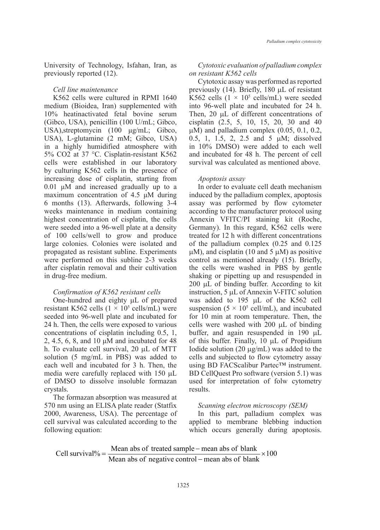University of Technology, Isfahan, Iran, as previously reported (12).

#### *Cell line maintenance*

K562 cells were cultured in RPMI 1640 medium (Bioidea, Iran) supplemented with 10% heatinactivated fetal bovine serum (Gibco, USA), penicillin (100 U/mL; Gibco, USA),streptomycin (100 μg/mL; Gibco, USA), L-glutamine (2 mM; Gibco, USA) in a highly humidified atmosphere with 5% CO2 at 37 °C. Cisplatin-resistant K562 cells were established in our laboratory by culturing K562 cells in the presence of increasing dose of cisplatin, starting from 0.01 μM and increased gradually up to a maximum concentration of 4.5 μM during 6 months (13). Afterwards, following 3-4 weeks maintenance in medium containing highest concentration of cisplatin, the cells were seeded into a 96-well plate at a density of 100 cells/well to grow and produce treated for 12 h with different concent large colonies. Colonies were isolated and propagated as resistant subline. Experiments  $\mu$ M), and cisplatin (10 and 5  $\mu$ M) as p were performed on this subline 2-3 weeks control as mentioned already (15). I after cisplatin removal and their cultivation in drug-free medium. in drug-free medium. The shaking or pipetting up and resuspended in

# *Confirmation of K562 resistant cells*

One-hundred and eighty  $\mu$ L of prepared was added to 195  $\mu$ L of th resistant K562 cells  $(1 \times 10^5 \text{ cells/mL})$  were seeded into 96-well plate and incubated for 24 h. Then, the cells were exposed to various concentrations of cisplatin including 0.5, 1,  $2, 4.5, 6, 8,$  and 10 μM and incubated for 48 of this b h. To evaluate cell survival, 20  $\mu$ L of MTT Iodide solution (20  $\mu$ g/mL) was added solution (5 mg/mL in PBS) was added to each well and incubated for 3 h. Then, the using BD FACScalibur Partec<sup>TM</sup> instr media were carefully replaced with 150 µL ned were calculary replaced with 150  $\mu$ . BB conguest Fro software (version 5 of DMSO to dissolve insoluble formazan used for interpretation of folw cyt crystals. the media were carefully replaced with 150 L of DMSO to discolution in the DMSO to discolve install the media  $\mathbb{R}^n$ 

The formazan absorption was measured at 570 nm using an ELISA plate reader (Statfix Scanning electron microscopy (SEI 2000, Awareness, USA). The percentage of The this part, palladium completed according to the following the following in cell survival was calculated according to the following equation:

# *Cytotoxic evaluation of palladium complex on resistant K562 cells*

Cytotoxic assay was performed as reported previously (14). Briefly, 180 µL of resistant K562 cells  $(1 \times 10^5 \text{ cells/mL})$  were seeded into 96-well plate and incubated for 24 h. Then, 20  $\mu$ L of different concentrations of cisplatin (2.5, 5, 10, 15, 20, 30 and 40  $\mu$ M) and palladium complex (0.05, 0.1, 0.2, 0.5, 1, 1.5, 2, 2.5 and 5 µM; dissolved in 10% DMSO) were added to each well and incubated for 48 h. The percent of cell survival was calculated as mentioned above.

#### *Apoptosis assay*

In order to evaluate cell death mechanism induced by the palladium complex, apoptosis assay was performed by flow cytometer according to the manufacturer protocol using Annexin VFITC/PI staining kit (Roche, Germany). In this regard, K562 cells were treated for 12 h with different concentrations of the palladium complex (0.25 and 0.125  $\mu$ M), and cisplatin (10 and 5  $\mu$ M) as positive control as mentioned already (15). Briefly, the cells were washed in PBS by gentle 200 µL of binding buffer. According to kit  $Configuration of K562 resistant cells$  instruction, 5 µL of Annexin V-FITC solution confirmation of K562 resistant cells was added to 195 µL of the K562 cell suspension ( $5 \times 10^5$  cell/mL), and incubated for 10 min at room temperature. Then, the cells were washed with 200 µL of binding buffer, and again resuspended in 190 µL buriet, and again resuspended in 170  $\mu$ .<br>of this buffer. Finally, 10  $\mu$ L of Propidium Iodide solution  $(20 \mu g/mL)$  was added to the cells and subjected to flow cytometry assay using BD FACScalibur Partec™ instrument. BD CellQuest Pro software (version 5.1) was used for interpretation of folw cytometry results.

## *Scanning electron microscopy (SEM)*

In this part, palladium complex was applied to membrane blebbing induction which occurs generally during apoptosis.

100 Cell survival% =  $\frac{\text{Mean abs of treated sample - mean abs of blank}}{\text{Mean abs of negative control - mean abs of blank}}$  ×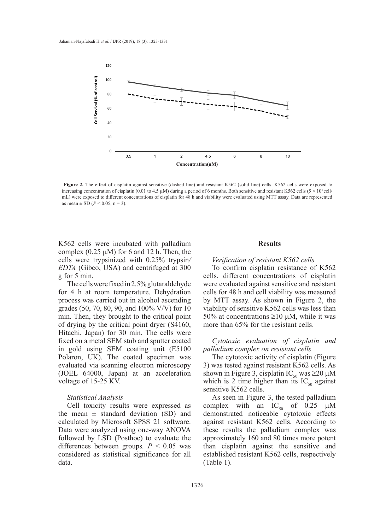

Figure 2. The effect of cisplatin against sensitive (dashed line) and resistant K562 (solid line) cells. K562 cells were exposed to mL) were exposed to different concentrations of cisplatin for 48 h and viability were evaluated using MTT assay. Data are represented period of 6 months. Both sensitive and resistant K562 cells (5 × 105 cellmL) were exposed to increasing concentration of cisplatin (0.01 to 4.5  $\mu$ M) during a period of 6 months. Both sensitive and resistant K562 cells (5 × 10<sup>5</sup> cell/ as mean  $\pm$  SD (*P* < 0.05, n = 3).

K562 cells were incubated with palladium complex  $(0.25 \mu M)$  for 6 and 12 h. Then, the cells were trypsinized with 0.25% trypsin*/ EDTA* (Gibco, USA) and centrifuged at 300 g for 5 min.

The cells were fixed in 2.5% glutaraldehyde for 4 h at room temperature. Dehydration process was carried out in alcohol ascending grades (50, 70, 80, 90, and 100% V/V) for 10 min. Then, they brought to the critical point of drying by the critical point dryer (S4160, Hitachi, Japan) for 30 min. The cells were fixed on a metal SEM stub and sputter coated in gold using SEM coating unit (E5100 Polaron, UK). The coated specimen was evaluated via scanning electron microscopy (JOEL 64000, Japan) at an acceleration voltage of 15-25 KV.

## *Statistical Analysis*

Cell toxicity results were expressed as the mean  $\pm$  standard deviation (SD) and calculated by Microsoft SPSS 21 software. Data were analyzed using one-way ANOVA followed by LSD (Posthoc) to evaluate the differences between groups.  $P < 0.05$  was considered as statistical significance for all data.

#### **Results**

## *Verification of resistant K562 cells*

To confirm cisplatin resistance of K562 cells, different concentrations of cisplatin were evaluated against sensitive and resistant cells for 48 h and cell viability was measured by MTT assay. As shown in Figure 2, the viability of sensitive K562 cells was less than 50% at concentrations  $\geq$ 10 µM, while it was more than 65% for the resistant cells.

# *Cytotoxic evaluation of cisplatin and palladium complex on resistant cells*

The cytotoxic activity of cisplatin (Figure 3) was tested against resistant K562 cells. As shown in Figure 3, cisplatin IC<sub>50</sub> was  $\geq$ 20 µM which is 2 time higher than its  $IC_{50}$  against sensitive K562 cells.

As seen in Figure 3, the tested palladium complex with an  $IC_{50}$  of 0.25  $\mu$ M demonstrated noticeable cytotoxic effects against resistant K562 cells. According to these results the palladium complex was approximately 160 and 80 times more potent than cisplatin against the sensitive and established resistant K562 cells, respectively (Table 1).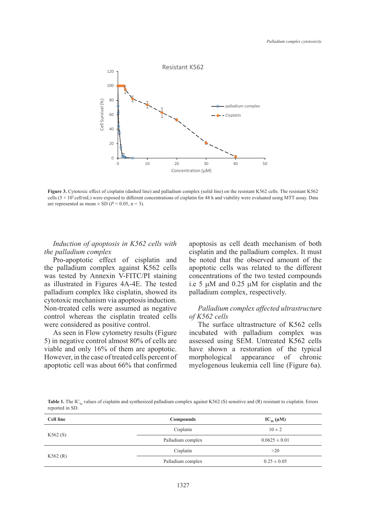

Figure 3. Cytotoxic effect of cisplatin (dashed line) and palladium complex (solid line) on the resistant K562 cells. The resistant K562 are represented as mean  $\pm$  SD (*P* < 0.05, n = 3). cells (5 × 105 cell/mL) were exposed to different concentrations of cisplatin for 48 h and viability were evaluated using MTT assay. Data

*Induction of apoptosis in K562 cells with the palladium complex*

Pro-apoptotic effect of cisplatin and the palladium complex against K562 cells was tested by Annexin V-FITC/PI staining as illustrated in Figures 4A-4E. The tested palladium complex like cisplatin, showed its cytotoxic mechanism via apoptosis induction. Non-treated cells were assumed as negative control whereas the cisplatin treated cells were considered as positive control.

As seen in Flow cytometry results (Figure 5) in negative control almost 80% of cells are viable and only 16% of them are apoptotic. However, in the case of treated cells percent of apoptotic cell was about 66% that confirmed

apoptosis as cell death mechanism of both cisplatin and the palladium complex. It must be noted that the observed amount of the apoptotic cells was related to the different 8 concentrations of the two tested compounds i.e 5 µM and 0.25 µM for cisplatin and the palladium complex, respectively.

# *Palladium complex affected ultrastructur*e *of K562 cells*

The surface ultrastructure of K562 cells incubated with palladium complex was assessed using SEM. Untreated K562 cells have shown a restoration of the typical morphological appearance of chronic myelogenous leukemia cell line (Figure 6a).

Table 1. The IC<sub>50</sub> values of cisplatin and synthesized palladium complex against K562 (S) sensitive and (R) resistant to cisplatin. Errors reported in SD.

| Cell line | Compounds         | $IC_{50}(\mu M)$  |
|-----------|-------------------|-------------------|
| K562(S)   | Cisplatin         | $10 \pm 2$        |
|           | Palladium complex | $0.0625 \pm 0.01$ |
| K562(R)   | Cisplatin         | >20               |
|           | Palladium complex | $0.25 \pm 0.05$   |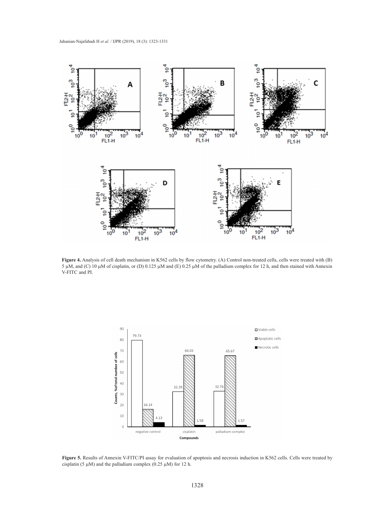

Figure 4. Analysis of cell death mechanism in K562 cells by flow cytometry. (A) Control non-treated cells, cells were treated with (B) 5  $\mu$ M, and (C) 10  $\mu$ M of cisplatin, or (D) 0.125  $\mu$ M and (E) 0.25  $\mu$ M of the palladium complex for 12 h, and then stained with Annexin N ETC and DI V-FITC and PI.



**Figure 5.** Results of Annexin V-FITC/PI assay for evaluation of apoptosis and necrosis induction in K562 cells. Cells were treated by cisplatin (5  $\mu$ M) and the palladium complex (0.25  $\mu$ M) for 12 h.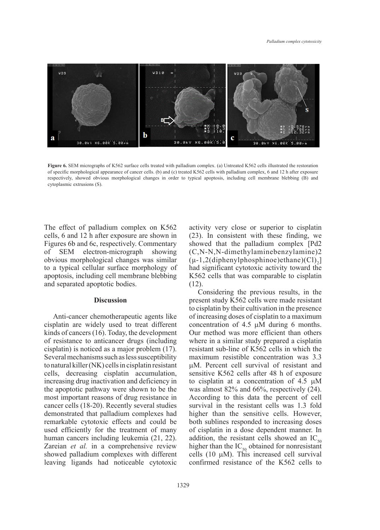

Figure 6. SEM micrographs of K562 surface cells treated with palladium complex. (a) Untreated K562 cells illustrated the restoration  $\text{cytophasmic extrusions (S).}$ of specific morphological appearance of cancer cells. (b) and (c) treated K562 cells with palladium complex, 6 and 12 h after exposure respectively, showed obvious morphological changes in order to typical apoptosis, including cell membrane blebbing (B) and

The effect of palladium complex on K562 rhe enter of panalatant comptent on the cytoplasmic cells, 6 and 12 h after exposure are shown in Figures 6b and 6c, respectively. Commentary of SEM electron-micrograph showing obvious morphological changes was similar to a typical cellular surface morphology of apoptosis, including cell membrane blebbing and separated apoptotic bodies.

#### **Discussion**

Anti-cancer chemotherapeutic agents like cisplatin are widely used to treat different kinds of cancers (16). Today, the development Our method was more efficient than others of resistance to anticancer drugs (including cisplatin) is noticed as a major problem (17). Several mechanisms such as less susceptibility to natural killer (NK) cells in cisplatin resistant cells, decreasing cisplatin accumulation, increasing drug inactivation and deficiency in the apoptotic pathway were shown to be the most important reasons of drug resistance in cancer cells (18-20). Recently several studies demonstrated that palladium complexes had remarkable cytotoxic effects and could be used efficiently for the treatment of many of cisplatin in a dose dependent manner. human cancers including leukemia (21, 22). Zareian *et al.* in a comprehensive review showed palladium complexes with different leaving ligands had noticeable cytotoxic

activity very close or superior to cisplatin (23). In consistent with these finding, we showed that the palladium complex [Pd2 (C,N-N,N-dimethylaminebenzylamine)2  $(\mu$ -1,2(diphenylphosphinoe)ethane)(Cl)<sub>2</sub>] had significant cytotoxic activity toward the K562 cells that was comparable to cisplatin (12).

Considering the previous results, in the present study K562 cells were made resistant to cisplatin by their cultivation in the presence to cisplatin by their cultivation in the presence Anti-cancer chemotherapeutic agents like of increasing doses of cisplatin to a maximum concentration of 4.5 µM during 6 months. Our method was more efficient than others of resistance to anticancer drugs (including where in a similar study prepared a cisplatin resistant sub-line of K562 cells in which the Several mechanisms such as less susceptibility maximum resistible concentration was  $3.3$ to natural killer (NK) cells in cisplatin resistant  $\mu$ M. Percent cell survival of resistant and sensitive K562 cells after 48 h of exposure increasing drug inactivation and deficiency in to cisplating at a concentration of  $4.5 \mu M$ the apoptotic pathway were shown to be the was almost  $82\%$  and  $66\%$ , respectively (24). According to this data the percent of cell cancer cells (18-20). Recently several studies survival in the resistant cells was 1.3 fold demonstrated that palladium complexes had higher than the sensitive cells. However, both sublines responded to increasing doses of cisplatin in a dose dependent manner. In addition, the resistant cells showed an  $IC_{50}$ higher than the IC<sub>50</sub> obtained for nonresistant cells  $(10 \mu M)$ . This increased cell survival confirmed resistance of the K562 cells to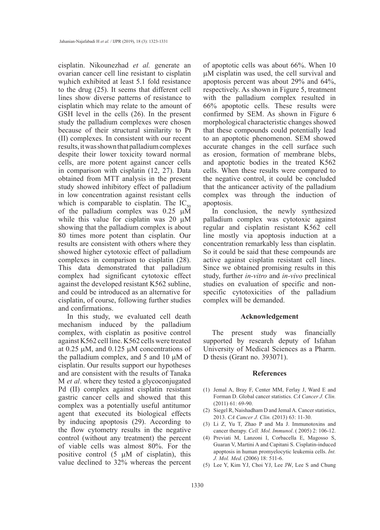cisplatin. Nikounezhad *et al.* generate an ovarian cancer cell line resistant to cisplatin wµhich exhibited at least 5.1 fold resistance to the drug (25). It seems that different cell lines show diverse patterns of resistance to cisplatin which may relate to the amount of GSH level in the cells (26). In the present study the palladium complexes were chosen because of their structural similarity to Pt (II) complexes. In consistent with our recent results, it was shown that palladium complexes despite their lower toxicity toward normal cells, are more potent against cancer cells in comparison with cisplatin (12, 27). Data obtained from MTT analysis in the present study showed inhibitory effect of palladium in low concentration against resistant cells which is comparable to cisplatin. The  $IC_{50}$ of the palladium complex was  $0.25 \mu \overline{M}$ while this value for cisplatin was 20  $\mu$ M showing that the palladium complex is about 80 times more potent than cisplatin. Our results are consistent with others where they showed higher cytotoxic effect of palladium complexes in comparison to cisplatin (28). This data demonstrated that palladium complex had significant cytotoxic effect against the developed resistant K562 subline, and could be introduced as an alternative for cisplatin, of course, following further studies and confirmations.

In this study, we evaluated cell death mechanism induced by the palladium complex, with cisplatin as positive control against K562 cell line. K562 cells were treated at 0.25 µM, and 0.125 µM concentrations of the palladium complex, and  $5$  and  $10 \mu M$  of cisplatin. Our results support our hypotheses and are consistent with the results of Tanaka M *et al*. where they tested a glycoconjugated Pd (II) complex against cisplatin resistant gastric cancer cells and showed that this complex was a potentially useful antitumor agent that executed its biological effects by inducing apoptosis (29). According to the flow cytometry results in the negative control (without any treatment) the percent of viable cells was almost 80%. For the positive control  $(5 \mu M)$  of cisplatin), this value declined to 32% whereas the percent

of apoptotic cells was about 66%. When 10 µM cisplatin was used, the cell survival and apoptosis percent was about 29% and 64%, respectively. As shown in Figure 5, treatment with the palladium complex resulted in 66% apoptotic cells. These results were confirmed by SEM. As shown in Figure 6 morphological characteristic changes showed that these compounds could potentially lead to an apoptotic phenomenon. SEM showed accurate changes in the cell surface such as erosion, formation of membrane blebs, and apoptotic bodies in the treated K562 cells. When these results were compared to the negative control, it could be concluded that the anticancer activity of the palladium complex was through the induction of apoptosis.

In conclusion, the newly synthesized palladium complex was cytotoxic against regular and cisplatin resistant K562 cell line mostly via apoptosis induction at a concentration remarkably less than cisplatin. So it could be said that these compounds are active against cisplatin resistant cell lines. Since we obtained promising results in this study, further *in-vitro* and *in-vivo* preclinical studies on evaluation of specific and nonspecific cytotoxicities of the palladium complex will be demanded.

# **Acknowledgement**

The present study was financially supported by research deputy of Isfahan University of Medical Sciences as a Pharm. D thesis (Grant no. 393071).

## **References**

- (1) Jemal A, Bray F, Center MM, Ferlay J, Ward E and Forman D. Global cancer statistics. *CA Cancer J. Clin.*  (2011) 61: 69-90.
- (2) Siegel R, Naishadham D and Jemal A. Cancer statistics, 2013. *CA Cancer J. Clin.* (2013) 63: 11-30.
- Li Z, Yu T, Zhao P and Ma J. Immunotoxins and (3) cancer therapy. *Cell. Mol. Immunol*. ( 2005) 2: 106-12.
- Previati M, Lanzoni I, Corbacella E, Magosso S, (4) Guaran V, Martini A and Capitani S. Cisplatin-induced apoptosis in human promyelocytic leukemia cells. *Int. J. Mol. Med*. (2006) 18: 511-6.
- Lee Y, Kim YJ, Choi YJ, Lee JW, Lee S and Chung (5)